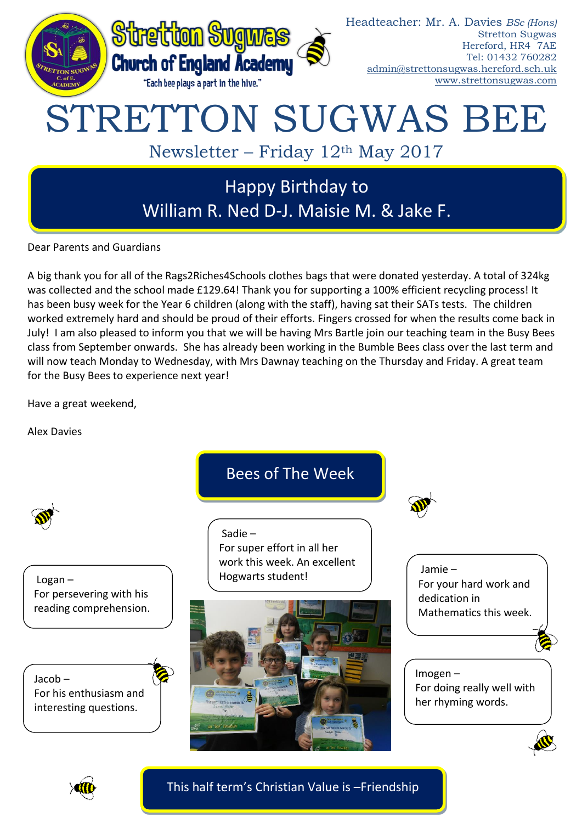

Dear Parents and Guardians

A big thank you for all of the Rags2Riches4Schools clothes bags that were donated yesterday. A total of 324kg was collected and the school made £129.64! Thank you for supporting a 100% efficient recycling process! It has been busy week for the Year 6 children (along with the staff), having sat their SATs tests. The children worked extremely hard and should be proud of their efforts. Fingers crossed for when the results come back in July! I am also pleased to inform you that we will be having Mrs Bartle join our teaching team in the Busy Bees class from September onwards. She has already been working in the Bumble Bees class over the last term and will now teach Monday to Wednesday, with Mrs Dawnay teaching on the Thursday and Friday. A great team for the Busy Bees to experience next year!

Have a great weekend,

Alex Davies



This half term's Christian Value is –Friendship